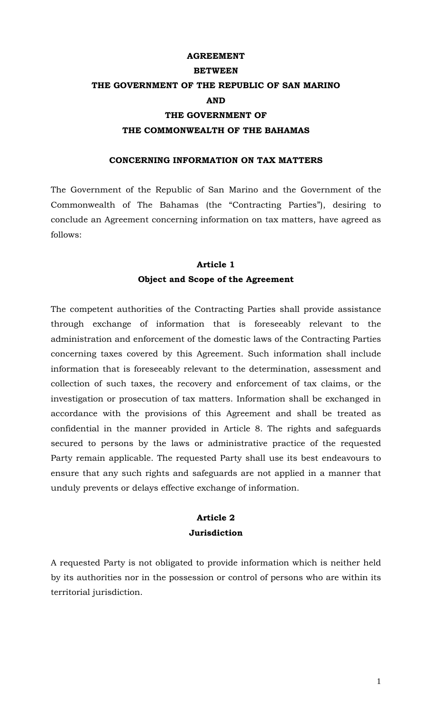# **AGREEMENT BETWEEN THE GOVERNMENT OF THE REPUBLIC OF SAN MARINO AND THE GOVERNMENT OF THE COMMONWEALTH OF THE BAHAMAS**

#### **CONCERNING INFORMATION ON TAX MATTERS**

The Government of the Republic of San Marino and the Government of the Commonwealth of The Bahamas (the "Contracting Parties"), desiring to conclude an Agreement concerning information on tax matters, have agreed as follows:

#### **Article 1 Object and Scope of the Agreement**

The competent authorities of the Contracting Parties shall provide assistance through exchange of information that is foreseeably relevant to the administration and enforcement of the domestic laws of the Contracting Parties concerning taxes covered by this Agreement. Such information shall include information that is foreseeably relevant to the determination, assessment and collection of such taxes, the recovery and enforcement of tax claims, or the investigation or prosecution of tax matters. Information shall be exchanged in accordance with the provisions of this Agreement and shall be treated as confidential in the manner provided in Article 8. The rights and safeguards secured to persons by the laws or administrative practice of the requested Party remain applicable. The requested Party shall use its best endeavours to ensure that any such rights and safeguards are not applied in a manner that unduly prevents or delays effective exchange of information.

#### **Article 2 Jurisdiction**

A requested Party is not obligated to provide information which is neither held by its authorities nor in the possession or control of persons who are within its territorial jurisdiction.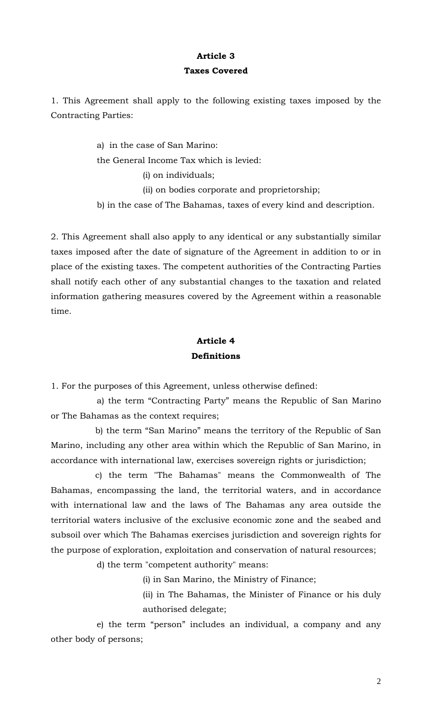# **Article 3**

#### **Taxes Covered**

1. This Agreement shall apply to the following existing taxes imposed by the Contracting Parties:

> a) in the case of San Marino: the General Income Tax which is levied: (i) on individuals;

- (ii) on bodies corporate and proprietorship;
- b) in the case of The Bahamas, taxes of every kind and description.

2. This Agreement shall also apply to any identical or any substantially similar taxes imposed after the date of signature of the Agreement in addition to or in place of the existing taxes. The competent authorities of the Contracting Parties shall notify each other of any substantial changes to the taxation and related information gathering measures covered by the Agreement within a reasonable time.

# **Article 4 Definitions**

1. For the purposes of this Agreement, unless otherwise defined:

 a) the term "Contracting Party" means the Republic of San Marino or The Bahamas as the context requires;

b) the term "San Marino" means the territory of the Republic of San Marino, including any other area within which the Republic of San Marino, in accordance with international law, exercises sovereign rights or jurisdiction;

c) the term "The Bahamas" means the Commonwealth of The Bahamas, encompassing the land, the territorial waters, and in accordance with international law and the laws of The Bahamas any area outside the territorial waters inclusive of the exclusive economic zone and the seabed and subsoil over which The Bahamas exercises jurisdiction and sovereign rights for the purpose of exploration, exploitation and conservation of natural resources;

d) the term "competent authority" means:

(i) in San Marino, the Ministry of Finance;

(ii) in The Bahamas, the Minister of Finance or his duly authorised delegate;

e) the term "person" includes an individual, a company and any other body of persons;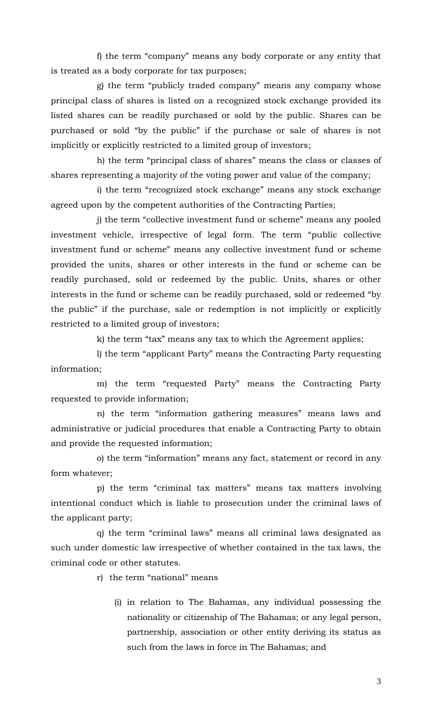f) the term "company" means any body corporate or any entity that is treated as a body corporate for tax purposes;

g) the term "publicly traded company" means any company whose principal class of shares is listed on a recognized stock exchange provided its listed shares can be readily purchased or sold by the public. Shares can be purchased or sold "by the public" if the purchase or sale of shares is not implicitly or explicitly restricted to a limited group of investors;

h) the term "principal class of shares" means the class or classes of shares representing a majority of the voting power and value of the company;

i) the term "recognized stock exchange" means any stock exchange agreed upon by the competent authorities of the Contracting Parties;

j) the term "collective investment fund or scheme" means any pooled investment vehicle, irrespective of legal form. The term "public collective investment fund or scheme" means any collective investment fund or scheme provided the units, shares or other interests in the fund or scheme can be readily purchased, sold or redeemed by the public. Units, shares or other interests in the fund or scheme can be readily purchased, sold or redeemed "by the public" if the purchase, sale or redemption is not implicitly or explicitly restricted to a limited group of investors;

k) the term "tax" means any tax to which the Agreement applies;

l) the term "applicant Party" means the Contracting Party requesting information;

m) the term "requested Party" means the Contracting Party requested to provide information;

n) the term "information gathering measures" means laws and administrative or judicial procedures that enable a Contracting Party to obtain and provide the requested information;

o) the term "information" means any fact, statement or record in any form whatever;

p) the term "criminal tax matters" means tax matters involving intentional conduct which is liable to prosecution under the criminal laws of the applicant party;

q) the term "criminal laws" means all criminal laws designated as such under domestic law irrespective of whether contained in the tax laws, the criminal code or other statutes.

r) the term "national" means

(i) in relation to The Bahamas, any individual possessing the nationality or citizenship of The Bahamas; or any legal person, partnership, association or other entity deriving its status as such from the laws in force in The Bahamas; and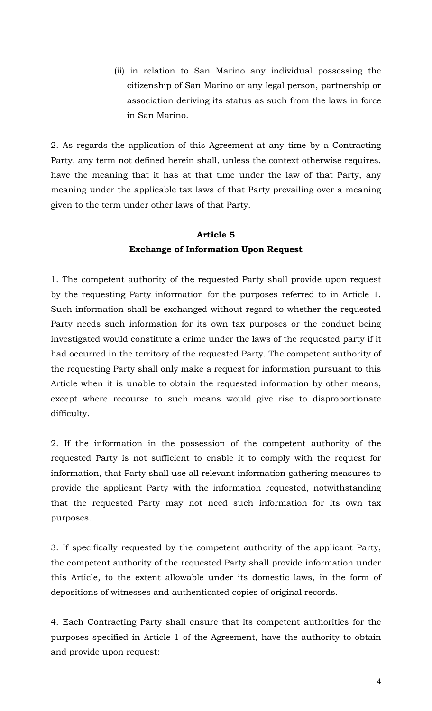(ii) in relation to San Marino any individual possessing the citizenship of San Marino or any legal person, partnership or association deriving its status as such from the laws in force in San Marino.

2. As regards the application of this Agreement at any time by a Contracting Party, any term not defined herein shall, unless the context otherwise requires, have the meaning that it has at that time under the law of that Party, any meaning under the applicable tax laws of that Party prevailing over a meaning given to the term under other laws of that Party.

# **Article 5 Exchange of Information Upon Request**

1. The competent authority of the requested Party shall provide upon request by the requesting Party information for the purposes referred to in Article 1. Such information shall be exchanged without regard to whether the requested Party needs such information for its own tax purposes or the conduct being investigated would constitute a crime under the laws of the requested party if it had occurred in the territory of the requested Party. The competent authority of the requesting Party shall only make a request for information pursuant to this Article when it is unable to obtain the requested information by other means, except where recourse to such means would give rise to disproportionate difficulty.

2. If the information in the possession of the competent authority of the requested Party is not sufficient to enable it to comply with the request for information, that Party shall use all relevant information gathering measures to provide the applicant Party with the information requested, notwithstanding that the requested Party may not need such information for its own tax purposes.

3. If specifically requested by the competent authority of the applicant Party, the competent authority of the requested Party shall provide information under this Article, to the extent allowable under its domestic laws, in the form of depositions of witnesses and authenticated copies of original records.

4. Each Contracting Party shall ensure that its competent authorities for the purposes specified in Article 1 of the Agreement, have the authority to obtain and provide upon request: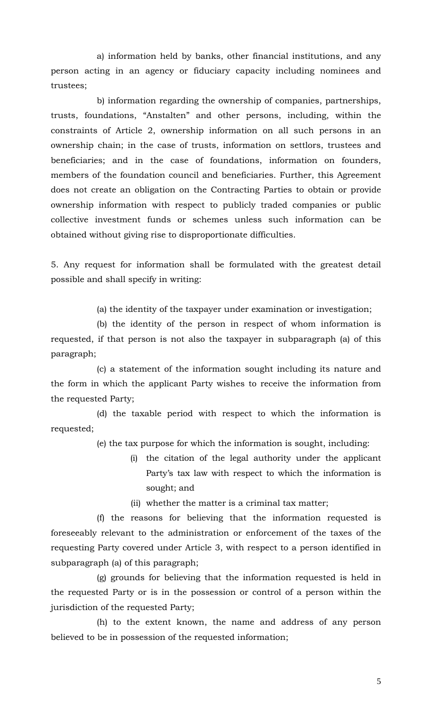a) information held by banks, other financial institutions, and any person acting in an agency or fiduciary capacity including nominees and trustees;

b) information regarding the ownership of companies, partnerships, trusts, foundations, "Anstalten" and other persons, including, within the constraints of Article 2, ownership information on all such persons in an ownership chain; in the case of trusts, information on settlors, trustees and beneficiaries; and in the case of foundations, information on founders, members of the foundation council and beneficiaries. Further, this Agreement does not create an obligation on the Contracting Parties to obtain or provide ownership information with respect to publicly traded companies or public collective investment funds or schemes unless such information can be obtained without giving rise to disproportionate difficulties.

5. Any request for information shall be formulated with the greatest detail possible and shall specify in writing:

(a) the identity of the taxpayer under examination or investigation;

(b) the identity of the person in respect of whom information is requested, if that person is not also the taxpayer in subparagraph (a) of this paragraph;

(c) a statement of the information sought including its nature and the form in which the applicant Party wishes to receive the information from the requested Party;

(d) the taxable period with respect to which the information is requested;

(e) the tax purpose for which the information is sought, including:

- (i) the citation of the legal authority under the applicant Party's tax law with respect to which the information is sought; and
- (ii) whether the matter is a criminal tax matter;

(f) the reasons for believing that the information requested is foreseeably relevant to the administration or enforcement of the taxes of the requesting Party covered under Article 3, with respect to a person identified in subparagraph (a) of this paragraph;

(g) grounds for believing that the information requested is held in the requested Party or is in the possession or control of a person within the jurisdiction of the requested Party;

(h) to the extent known, the name and address of any person believed to be in possession of the requested information;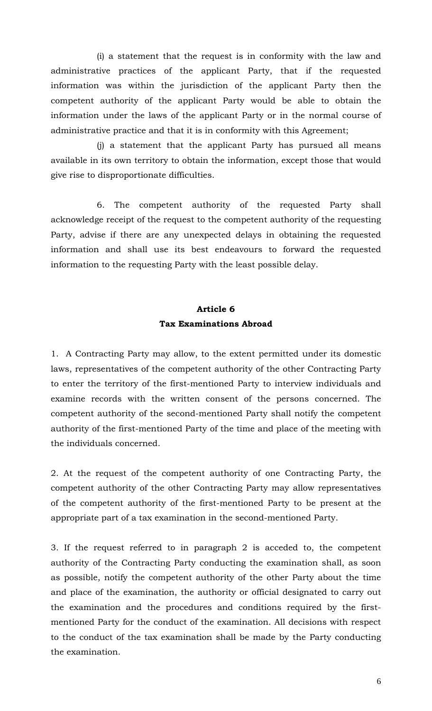(i) a statement that the request is in conformity with the law and administrative practices of the applicant Party, that if the requested information was within the jurisdiction of the applicant Party then the competent authority of the applicant Party would be able to obtain the information under the laws of the applicant Party or in the normal course of administrative practice and that it is in conformity with this Agreement;

(j) a statement that the applicant Party has pursued all means available in its own territory to obtain the information, except those that would give rise to disproportionate difficulties.

6. The competent authority of the requested Party shall acknowledge receipt of the request to the competent authority of the requesting Party, advise if there are any unexpected delays in obtaining the requested information and shall use its best endeavours to forward the requested information to the requesting Party with the least possible delay.

# **Article 6 Tax Examinations Abroad**

1. A Contracting Party may allow, to the extent permitted under its domestic laws, representatives of the competent authority of the other Contracting Party to enter the territory of the first-mentioned Party to interview individuals and examine records with the written consent of the persons concerned. The competent authority of the second-mentioned Party shall notify the competent authority of the first-mentioned Party of the time and place of the meeting with the individuals concerned.

2. At the request of the competent authority of one Contracting Party, the competent authority of the other Contracting Party may allow representatives of the competent authority of the first-mentioned Party to be present at the appropriate part of a tax examination in the second-mentioned Party.

3. If the request referred to in paragraph 2 is acceded to, the competent authority of the Contracting Party conducting the examination shall, as soon as possible, notify the competent authority of the other Party about the time and place of the examination, the authority or official designated to carry out the examination and the procedures and conditions required by the firstmentioned Party for the conduct of the examination. All decisions with respect to the conduct of the tax examination shall be made by the Party conducting the examination.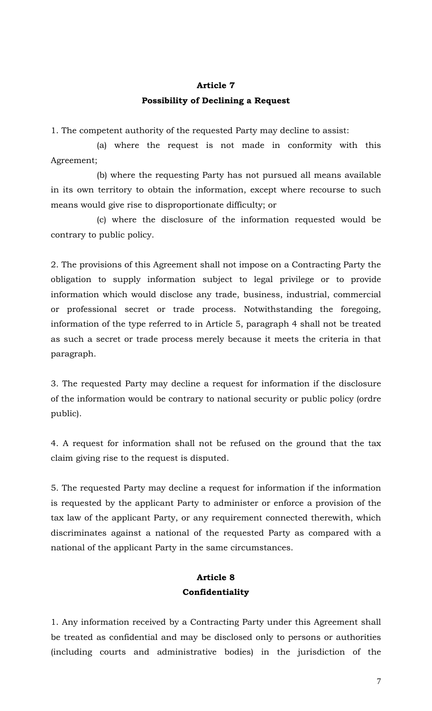# **Article 7 Possibility of Declining a Request**

1. The competent authority of the requested Party may decline to assist:

(a) where the request is not made in conformity with this Agreement;

(b) where the requesting Party has not pursued all means available in its own territory to obtain the information, except where recourse to such means would give rise to disproportionate difficulty; or

(c) where the disclosure of the information requested would be contrary to public policy.

2. The provisions of this Agreement shall not impose on a Contracting Party the obligation to supply information subject to legal privilege or to provide information which would disclose any trade, business, industrial, commercial or professional secret or trade process. Notwithstanding the foregoing, information of the type referred to in Article 5, paragraph 4 shall not be treated as such a secret or trade process merely because it meets the criteria in that paragraph.

3. The requested Party may decline a request for information if the disclosure of the information would be contrary to national security or public policy (ordre public).

4. A request for information shall not be refused on the ground that the tax claim giving rise to the request is disputed.

5. The requested Party may decline a request for information if the information is requested by the applicant Party to administer or enforce a provision of the tax law of the applicant Party, or any requirement connected therewith, which discriminates against a national of the requested Party as compared with a national of the applicant Party in the same circumstances.

#### **Article 8 Confidentiality**

1. Any information received by a Contracting Party under this Agreement shall be treated as confidential and may be disclosed only to persons or authorities (including courts and administrative bodies) in the jurisdiction of the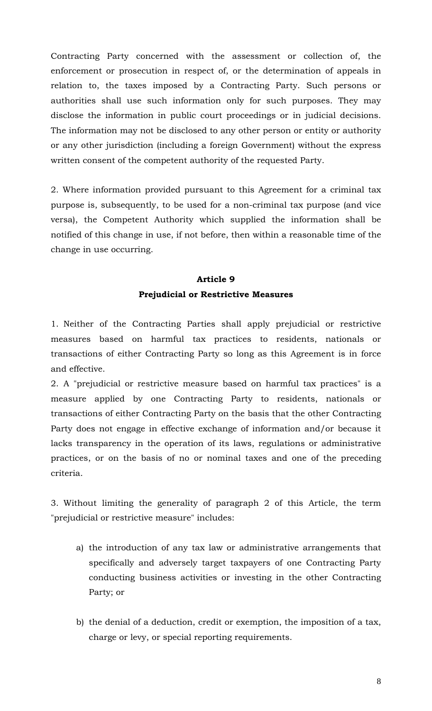Contracting Party concerned with the assessment or collection of, the enforcement or prosecution in respect of, or the determination of appeals in relation to, the taxes imposed by a Contracting Party. Such persons or authorities shall use such information only for such purposes. They may disclose the information in public court proceedings or in judicial decisions. The information may not be disclosed to any other person or entity or authority or any other jurisdiction (including a foreign Government) without the express written consent of the competent authority of the requested Party.

2. Where information provided pursuant to this Agreement for a criminal tax purpose is, subsequently, to be used for a non-criminal tax purpose (and vice versa), the Competent Authority which supplied the information shall be notified of this change in use, if not before, then within a reasonable time of the change in use occurring.

## **Article 9 Prejudicial or Restrictive Measures**

1. Neither of the Contracting Parties shall apply prejudicial or restrictive measures based on harmful tax practices to residents, nationals or transactions of either Contracting Party so long as this Agreement is in force and effective.

2. A "prejudicial or restrictive measure based on harmful tax practices" is a measure applied by one Contracting Party to residents, nationals or transactions of either Contracting Party on the basis that the other Contracting Party does not engage in effective exchange of information and/or because it lacks transparency in the operation of its laws, regulations or administrative practices, or on the basis of no or nominal taxes and one of the preceding criteria.

3. Without limiting the generality of paragraph 2 of this Article, the term "prejudicial or restrictive measure" includes:

- a) the introduction of any tax law or administrative arrangements that specifically and adversely target taxpayers of one Contracting Party conducting business activities or investing in the other Contracting Party; or
- b) the denial of a deduction, credit or exemption, the imposition of a tax, charge or levy, or special reporting requirements.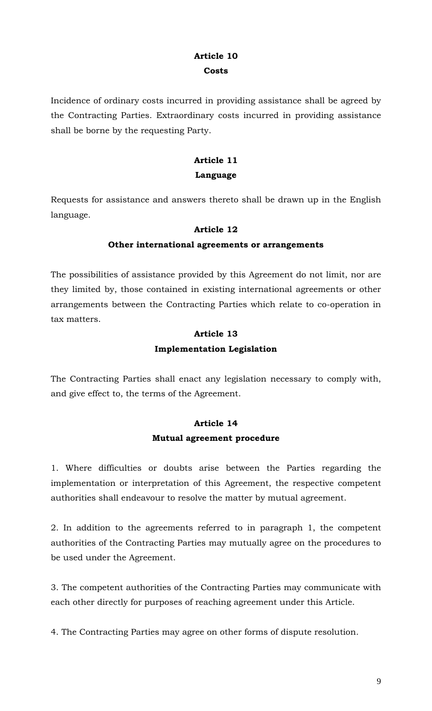#### **Article 10 Costs**

Incidence of ordinary costs incurred in providing assistance shall be agreed by the Contracting Parties. Extraordinary costs incurred in providing assistance shall be borne by the requesting Party.

# **Article 11 Language**

Requests for assistance and answers thereto shall be drawn up in the English language.

#### **Article 12**

#### **Other international agreements or arrangements**

The possibilities of assistance provided by this Agreement do not limit, nor are they limited by, those contained in existing international agreements or other arrangements between the Contracting Parties which relate to co-operation in tax matters.

#### **Article 13 Implementation Legislation**

The Contracting Parties shall enact any legislation necessary to comply with, and give effect to, the terms of the Agreement.

# **Article 14 Mutual agreement procedure**

1. Where difficulties or doubts arise between the Parties regarding the implementation or interpretation of this Agreement, the respective competent authorities shall endeavour to resolve the matter by mutual agreement.

2. In addition to the agreements referred to in paragraph 1, the competent authorities of the Contracting Parties may mutually agree on the procedures to be used under the Agreement.

3. The competent authorities of the Contracting Parties may communicate with each other directly for purposes of reaching agreement under this Article.

4. The Contracting Parties may agree on other forms of dispute resolution.